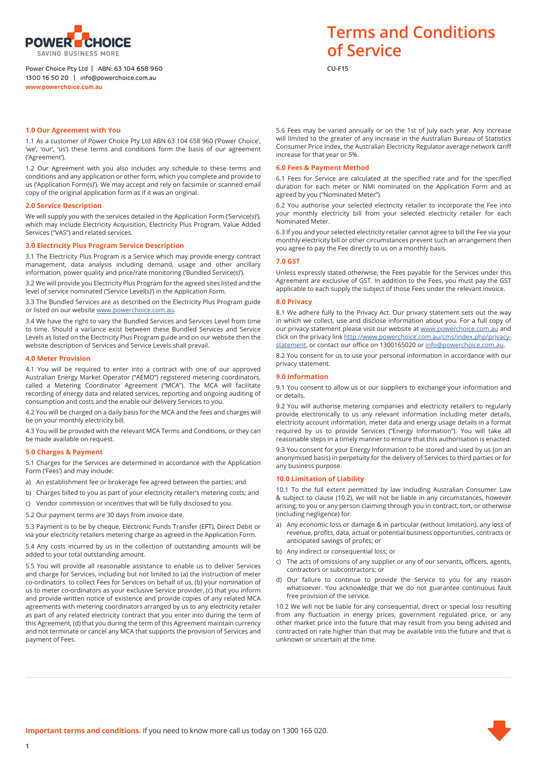

#### Power Choice Pty Ltd | ABN: 63 104 658 960 **CU-F15** 1300 16 50 20 | info@powerchoice.com.au **www.powerchoice.com.au**

## **1.0 Our Agreement with You**

1.1 As a customer of Power Choice Pty Ltd ABN 63 104 658 960 ('Power Choice', 'we', 'our', 'us') these terms and conditions form the basis of our agreement ('Agreement').

1.2 Our Agreement with you also includes any schedule to these terms and conditions and any application or other form, which you complete and provide to us ('Application Form(s)'). We may accept and rely on facsimile or scanned email copy of the original application form as if it was an original.

#### **2.0 Service Description**

We will supply you with the services detailed in the Application Form ('Service(s)'), which may include Electricity Acquisition, Electricity Plus Program, Value Added Services ("VAS") and related services.

#### **3.0 Electricity Plus Program Service Description**

3.1 The Electricity Plus Program is a Service which may provide energy contract management, data analysis including demand, usage and other ancillary information, power quality and price/rate monitoring ('Bundled Service(s)').

3.2 We will provide you Electricity Plus Program for the agreed sites listed and the level of service nominated ('Service Level(s)') in the Application Form.

3.3 The Bundled Services are as described on the Electricity Plus Program guide or listed on our website www.powerchoice.com.au.

3.4 We have the right to vary the Bundled Services and Services Level from time to time. Should a variance exist between these Bundled Services and Service Levels as listed on the Electricity Plus Program guide and on our website then the website description of Services and Service Levels shall prevail.

#### **4.0 Meter Provision**

4.1 You will be required to enter into a contract with one of our approved Australian Energy Market Operator ("AEMO") registered metering coordinators, called a Metering Coordinator Agreement ("MCA"). The MCA will facilitate recording of energy data and related services, reporting and ongoing auditing of consumption and costs and the enable our delivery Services to you.

4.2 You will be charged on a daily basis for the MCA and the fees and charges will be on your monthly electricity bill.

4.3 You will be provided with the relevant MCA Terms and Conditions, or they can be made available on request.

#### **5.0 Charges & Payment**

5.1 Charges for the Services are determined in accordance with the Application Form ('Fees') and may include:

- a) An establishment fee or brokerage fee agreed between the parties; and
- b) Charges billed to you as part of your electricity retailer's metering costs; and
- c) Vendor commission or incentives that will be fully disclosed to you.

5.2 Our payment terms are 30 days from invoice date.

5.3 Payment is to be by cheque, Electronic Funds Transfer (EFT), Direct Debit or via your electricity retailers metering charge as agreed in the Application Form.

5.4 Any costs incurred by us in the collection of outstanding amounts will be added to your total outstanding amount.

5.5 You will provide all reasonable assistance to enable us to deliver Services and charge for Services, including but not limited to (a) the instruction of meter co-ordinators to collect Fees for Services on behalf of us, (b) your nomination of us to meter co-ordinators as your exclusive Service provider, (c) that you inform and provide written notice of existence and provide copies of any related MCA agreements with metering coordinators arranged by us to any electricity retailer as part of any related electricity contract that you enter into during the term of this Agreement, (d) that you during the term of this Agreement maintain currency and not terminate or cancel any MCA that supports the provision of Services and payment of Fees.

# **Terms and Conditions of Service**

5.6 Fees may be varied annually or on the 1st of July each year. Any increase will limited to the greater of any increase in the Australian Bureau of Statistics Consumer Price Index, the Australian Electricity Regulator average network tariff increase for that year or 5%.

#### **6.0 Fees & Payment Method**

6.1 Fees for Service are calculated at the specified rate and for the specified duration for each meter or NMI nominated on the Application Form and as agreed by you ("Nominated Meter").

6.2 You authorise your selected electricity retailer to incorporate the Fee into your monthly electricity bill from your selected electricity retailer for each Nominated Meter.

6.3 If you and your selected electricity retailer cannot agree to bill the Fee via your monthly electricity bill or other circumstances prevent such an arrangement then you agree to pay the Fee directly to us on a monthly basis.

#### **7.0 GST**

Unless expressly stated otherwise, the Fees payable for the Services under this Agreement are exclusive of GST. In addition to the Fees, you must pay the GST applicable to each supply the subject of those Fees under the relevant invoice.

#### **8.0 Privacy**

8.1 We adhere fully to the Privacy Act. Our privacy statement sets out the way in which we collect, use and disclose information about you. For a full copy of our privacy statement please visit our website at www.powerchoice.com.au and click on the privacy link http://www.powerchoice.com.au/cms/index.php/privacystatement, or contact our office on 1300165020 or info@powerchoice.com.au.

8.2 You consent for us to use your personal information in accordance with our privacy statement.

# **9.0 Information**

9.1 You consent to allow us or our suppliers to exchange your information and or details.

9.2 You will authorise metering companies and electricity retailers to regularly provide electronically to us any relevant information including meter details, electricity account information, meter data and energy usage details in a format required by us to provide Services ("Energy Information"). You will take all reasonable steps in a timely manner to ensure that this authorisation is enacted.

9.3 You consent for your Energy Information to be stored and used by us (on an anonymised basis) in perpetuity for the delivery of Services to third parties or for any business purpose.

#### **10.0 Limitation of Liability**

10.1 To the full extent permitted by law Including Australian Consumer Law & subject to clause (10.2), we will not be liable in any circumstances, however arising, to you or any person claiming through you in contract, tort, or otherwise (including negligence) for:

- Any economic loss or damage & in particular (without limitation), any loss of revenue, profits, data, actual or potential business opportunities, contracts or anticipated savings of profits; or
- b) Any indirect or consequential loss; or
- c) The acts of omissions of any supplier or any of our servants, officers, agents, contractors or subcontractors; or
- d) Our failure to continue to provide the Service to you for any reason whatsoever. You acknowledge that we do not guarantee continuous fault free provision of the service.

10.2 We will not be liable for any consequential, direct or special loss resulting from any fluctuation in energy prices, government regulated price, or any other market price into the future that may result from you being advised and contracted on rate higher than that may be available into the future and that is unknown or uncertain at the time.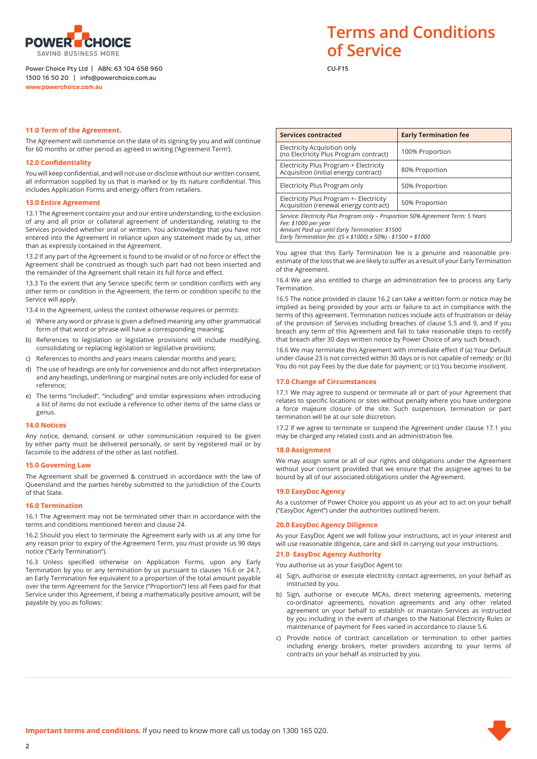

### Power Choice Pty Ltd | ABN: 63 104 658 960 **CU-F15** 1300 16 50 20 | info@powerchoice.com.au **www.powerchoice.com.au**

# **Terms and Conditions of Service**

#### **11.0 Term of the Agreement.**

The Agreement will commence on the date of its signing by you and will continue for 60 months or other period as agreed in writing ('Agreement Term').

### **12.0 Confidentiality**

You will keep confidential, and will not use or disclose without our written consent, all information supplied by us that is marked or by its nature confidential. This includes Application Forms and energy offers from retailers.

## **13.0 Entire Agreement**

13.1 The Agreement contains your and our entire understanding, to the exclusion of any and all prior or collateral agreement of understanding, relating to the Services provided whether oral or written. You acknowledge that you have not entered into the Agreement in reliance upon any statement made by us, other than as expressly contained in the Agreement.

13.2 If any part of the Agreement is found to be invalid or of no force or effect the Agreement shall be construed as though such part had not been inserted and the remainder of the Agreement shall retain its full force and effect.

13.3 To the extent that any Service specific term or condition conflicts with any other term or condition in the Agreement, the term or condition specific to the Service will apply.

13.4 In the Agreement, unless the context otherwise requires or permits:

- a) Where any word or phrase is given a defined meaning any other grammatical form of that word or phrase will have a corresponding meaning;
- b) References to legislation or legislative provisions will include modifying, consolidating or replacing legislation or legislative provisions;
- c) References to months and years means calendar months and years;
- d) The use of headings are only for convenience and do not affect interpretation and any headings, underlining or marginal notes are only included for ease of reference;
- e) The terms "included", "including" and similar expressions when introducing a list of items do not exclude a reference to other items of the same class or genus.

#### **14.0 Notices**

Any notice, demand, consent or other communication required to be given by either party must be delivered personally, or sent by registered mail or by facsimile to the address of the other as last notified.

#### **15.0 Governing Law**

The Agreement shall be governed & construed in accordance with the law of Queensland and the parties hereby submitted to the jurisdiction of the Courts of that State.

#### **16.0 Termination**

16.1 The Agreement may not be terminated other than in accordance with the terms and conditions mentioned herein and clause 24.

16.2 Should you elect to terminate the Agreement early with us at any time for any reason prior to expiry of the Agreement Term, you must provide us 90 days notice ("Early Termination").

16.3 Unless specified otherwise on Application Forms, upon any Early Termination by you or any termination by us pursuant to clauses 16.6 or 24.7, an Early Termination fee equivalent to a proportion of the total amount payable over the term Agreement for the Service ("Proportion") less all Fees paid for that Service under this Agreement, if being a mathematically positive amount, will be payable by you as follows:

| <b>Services contracted</b>                                                                                                                                                                                                 | <b>Early Termination fee</b> |
|----------------------------------------------------------------------------------------------------------------------------------------------------------------------------------------------------------------------------|------------------------------|
| Electricity Acquisition only<br>(no Electricity Plus Program contract)                                                                                                                                                     | 100% Proportion              |
| Electricity Plus Program + Electricity<br>Acquisition (initial energy contract)                                                                                                                                            | 80% Proportion               |
| Electricity Plus Program only                                                                                                                                                                                              | 50% Proportion               |
| Electricity Plus Program +- Electricity<br>Acquisition (renewal energy contract)                                                                                                                                           | 50% Proportion               |
| Service: Electricity Plus Program only - Proportion 50% Agreement Term: 5 Years<br>Fee: \$1000 per year<br>Amount Paid up until Early Termination: \$1500<br>Early Termination fee: ((5 x \$1000) x 50%) - \$1500 = \$1000 |                              |

You agree that this Early Termination fee is a genuine and reasonable preestimate of the loss that we are likely to suffer as a result of your Early Termination of the Agreement.

16.4 We are also entitled to charge an administration fee to process any Early Termination.

16.5 The notice provided in clause 16.2 can take a written form or notice may be implied as being provided by your acts or failure to act in compliance with the terms of this agreement. Termination notices include acts of frustration or delay of the provision of Services including breaches of clause 5.5 and 9, and If you breach any term of this Agreement and fail to take reasonable steps to rectify that breach after 30 days written notice by Power Choice of any such breach.

16.6 We may terminate this Agreement with immediate effect if (a) Your Default under clause 23 is not corrected within 30 days or is not capable of remedy; or (b) You do not pay Fees by the due date for payment; or (c) You become insolvent.

#### **17.0 Change of Circumstances**

17.1 We may agree to suspend or terminate all or part of your Agreement that relates to specific locations or sites without penalty where you have undergone a force majeure closure of the site. Such suspension, termination or part termination will be at our sole discretion.

17.2 If we agree to terminate or suspend the Agreement under clause 17.1 you may be charged any related costs and an administration fee.

#### **18.0 Assignment**

We may assign some or all of our rights and obligations under the Agreement without your consent provided that we ensure that the assignee agrees to be bound by all of our associated obligations under the Agreement.

#### **19.0 EasyDoc Agency**

As a customer of Power Choice you appoint us as your act to act on your behalf ("EasyDoc Agent") under the authorities outlined herein.

#### **20.0 EasyDoc Agency Diligence**

As your EasyDoc Agent we will follow your instructions, act in your interest and will use reasonable diligence, care and skill in carrying out your instructions.

#### **21.0 EasyDoc Agency Authority**

You authorise us as your EasyDoc Agent to:

- a) Sign, authorise or execute electricity contact agreements, on your behalf as instructed by you.
- b) Sign, authorise or execute MCAs, direct metering agreements, metering co-ordinator agreements, novation agreements and any other related agreement on your behalf to establish or maintain Services as instructed by you including in the event of changes to the National Electricity Rules or maintenance of payment for Fees varied in accordance to clause 5.6
- c) Provide notice of contract cancellation or termination to other parties including energy brokers, meter providers according to your terms of contracts on your behalf as instructed by you.